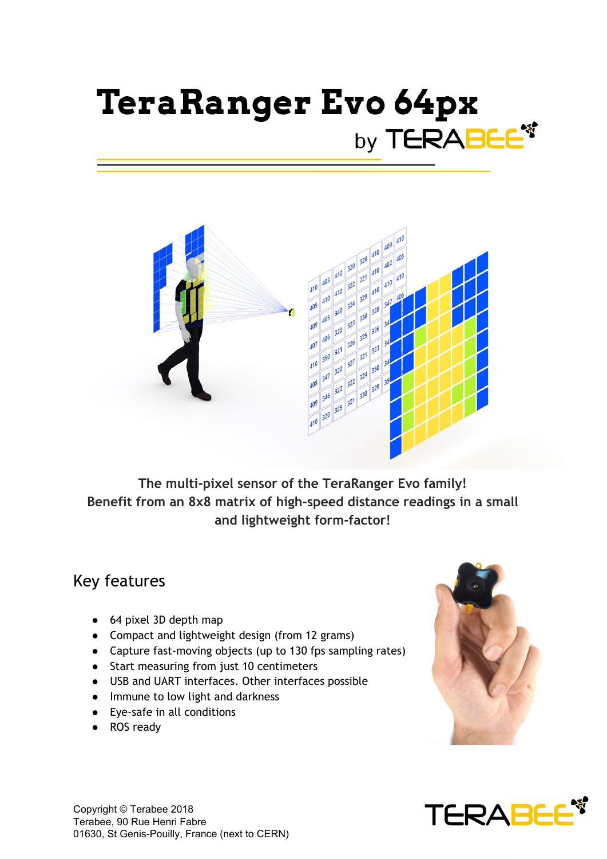# **TeraRanger Evo 64px** by TERABEE



**The multi-pixel sensor of the TeraRanger Evo family! Benefit from an 8x8 matrix of high-speed distance readings in a small and lightweight form-factor!**

#### Key features

- 64 pixel 3D depth map
- Compact and lightweight design (from 12 grams)
- Capture fast-moving objects (up to 130 fps sampling rates)
- Start measuring from just 10 centimeters
- USB and UART interfaces. Other interfaces possible
- Immune to low light and darkness
- Eye-safe in all conditions
- ROS ready



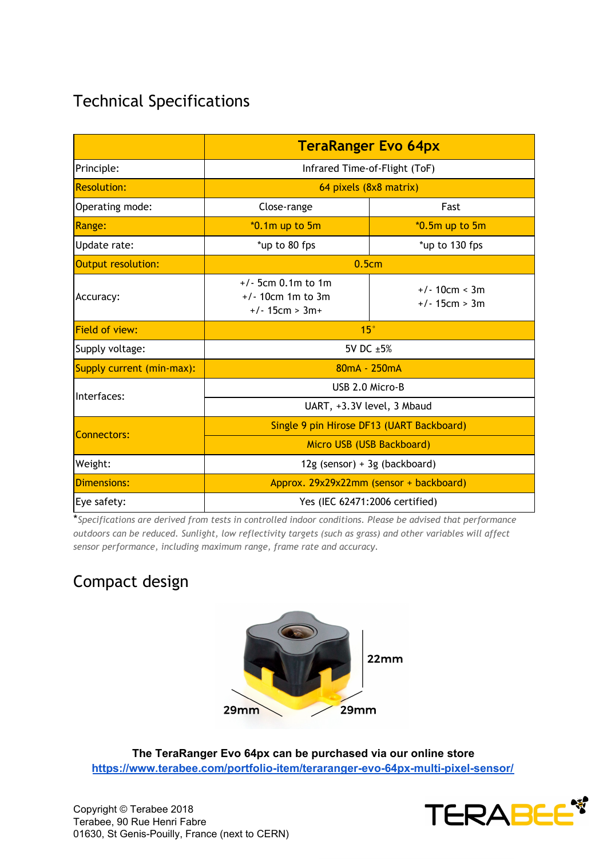## Technical Specifications

|                           | <b>TeraRanger Evo 64px</b>                                      |                                    |
|---------------------------|-----------------------------------------------------------------|------------------------------------|
| Principle:                | Infrared Time-of-Flight (ToF)                                   |                                    |
| <b>Resolution:</b>        | 64 pixels (8x8 matrix)                                          |                                    |
| Operating mode:           | Close-range                                                     | Fast                               |
| <b>Range:</b>             | $*0.1m$ up to 5m                                                | $*0.5m$ up to $5m$                 |
| Update rate:              | *up to 80 fps                                                   | *up to 130 fps                     |
| Output resolution:        | 0.5cm                                                           |                                    |
| Accuracy:                 | $+/-$ 5cm 0.1m to 1m<br>$+/- 10cm$ 1m to 3m<br>$+/- 15cm > 3m+$ | $+/- 10cm < 3m$<br>$+/- 15cm > 3m$ |
| <b>Field of view:</b>     | 15 <sup>°</sup>                                                 |                                    |
| Supply voltage:           | 5V DC ±5%                                                       |                                    |
| Supply current (min-max): | $80mA - 250mA$                                                  |                                    |
| Interfaces:               | USB 2.0 Micro-B                                                 |                                    |
|                           | UART, +3.3V level, 3 Mbaud                                      |                                    |
| <b>Connectors:</b>        | Single 9 pin Hirose DF13 (UART Backboard)                       |                                    |
|                           | Micro USB (USB Backboard)                                       |                                    |
| Weight:                   | $12g$ (sensor) + 3g (backboard)                                 |                                    |
| Dimensions:               | Approx. 29x29x22mm (sensor + backboard)                         |                                    |
| Eye safety:               | Yes (IEC 62471:2006 certified)                                  |                                    |

\**Specifications are derived from tests in controlled indoor conditions. Please be advised that performance outdoors can be reduced. Sunlight, low reflectivity targets (such as grass) and other variables will affect sensor performance, including maximum range, frame rate and accuracy.*

### Compact design



**The TeraRanger Evo 64px can be purchased via our online store <https://www.terabee.com/portfolio-item/teraranger-evo-64px-multi-pixel-sensor/>**